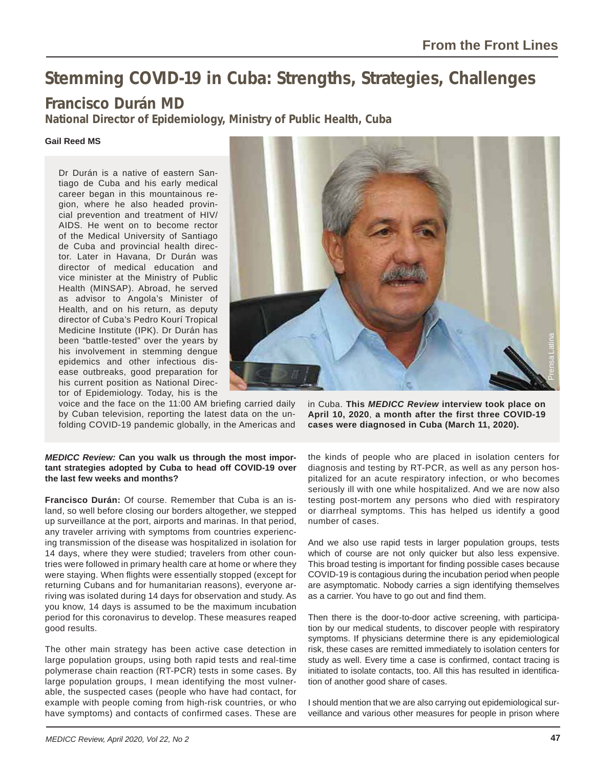# **Stemming COVID-19 in Cuba: Strengths, Strategies, Challenges**

## **Francisco Durán MD**

**National Director of Epidemiology, Ministry of Public Health, Cuba**

#### **Gail Reed MS**

Dr Durán is a native of eastern Santiago de Cuba and his early medical career began in this mountainous region, where he also headed provincial prevention and treatment of HIV/ AIDS. He went on to become rector of the Medical University of Santiago de Cuba and provincial health director. Later in Havana, Dr Durán was director of medical education and vice minister at the Ministry of Public Health (MINSAP). Abroad, he served as advisor to Angola's Minister of Health, and on his return, as deputy director of Cuba's Pedro Kourí Tropical Medicine Institute (IPK). Dr Durán has been "battle-tested" over the years by his involvement in stemming dengue epidemics and other infectious disease outbreaks, good preparation for his current position as National Director of Epidemiology. Today, his is the

voice and the face on the 11:00 AM briefing carried daily by Cuban television, reporting the latest data on the unfolding COVID-19 pandemic globally, in the Americas and

#### *MEDICC Review:* **Can you walk us through the most important strategies adopted by Cuba to head off COVID-19 over the last few weeks and months?**

**Francisco Durán:** Of course. Remember that Cuba is an island, so well before closing our borders altogether, we stepped up surveillance at the port, airports and marinas. In that period, any traveler arriving with symptoms from countries experiencing transmission of the disease was hospitalized in isolation for 14 days, where they were studied; travelers from other countries were followed in primary health care at home or where they were staying. When flights were essentially stopped (except for returning Cubans and for humanitarian reasons), everyone arriving was isolated during 14 days for observation and study. As you know, 14 days is assumed to be the maximum incubation period for this coronavirus to develop. These measures reaped good results.

The other main strategy has been active case detection in large population groups, using both rapid tests and real-time polymerase chain reaction (RT-PCR) tests in some cases. By large population groups, I mean identifying the most vulnerable, the suspected cases (people who have had contact, for example with people coming from high-risk countries, or who have symptoms) and contacts of confirmed cases. These are



the kinds of people who are placed in isolation centers for diagnosis and testing by RT-PCR, as well as any person hospitalized for an acute respiratory infection, or who becomes seriously ill with one while hospitalized. And we are now also testing post-mortem any persons who died with respiratory or diarrheal symptoms. This has helped us identify a good number of cases.

And we also use rapid tests in larger population groups, tests which of course are not only quicker but also less expensive. This broad testing is important for finding possible cases because COVID-19 is contagious during the incubation period when people are asymptomatic. Nobody carries a sign identifying themselves as a carrier. You have to go out and find them.

Then there is the door-to-door active screening, with participation by our medical students, to discover people with respiratory symptoms. If physicians determine there is any epidemiological risk, these cases are remitted immediately to isolation centers for study as well. Every time a case is confirmed, contact tracing is initiated to isolate contacts, too. All this has resulted in identification of another good share of cases. The Collam State Core (with the private other incomes that the covibile on April 10, 2020, a month after the first three COVID-19 cases were diagnosed in Cuba (March 11, 2020).<br>The kinds of people who are placed in isolati

I should mention that we are also carrying out epidemiological sur-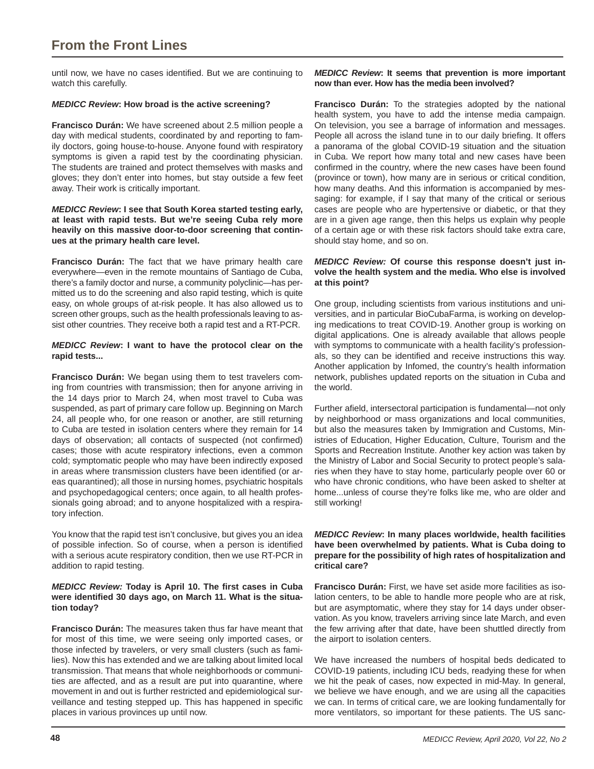### **From the Front Lines**

until now, we have no cases identified. But we are continuing to watch this carefully.

#### *MEDICC Review***: How broad is the active screening?**

**Francisco Durán:** We have screened about 2.5 million people a day with medical students, coordinated by and reporting to family doctors, going house-to-house. Anyone found with respiratory symptoms is given a rapid test by the coordinating physician. The students are trained and protect themselves with masks and gloves; they don't enter into homes, but stay outside a few feet away. Their work is critically important.

#### *MEDICC Review***: I see that South Korea started testing early, at least with rapid tests. But we're seeing Cuba rely more heavily on this massive door-to-door screening that continues at the primary health care level.**

**Francisco Durán:** The fact that we have primary health care everywhere—even in the remote mountains of Santiago de Cuba, there's a family doctor and nurse, a community polyclinic—has permitted us to do the screening and also rapid testing, which is quite easy, on whole groups of at-risk people. It has also allowed us to screen other groups, such as the health professionals leaving to assist other countries. They receive both a rapid test and a RT-PCR.

#### *MEDICC Review***: I want to have the protocol clear on the rapid tests...**

**Francisco Durán:** We began using them to test travelers coming from countries with transmission; then for anyone arriving in the 14 days prior to March 24, when most travel to Cuba was suspended, as part of primary care follow up. Beginning on March 24, all people who, for one reason or another, are still returning to Cuba are tested in isolation centers where they remain for 14 days of observation; all contacts of suspected (not confirmed) cases; those with acute respiratory infections, even a common cold; symptomatic people who may have been indirectly exposed in areas where transmission clusters have been identified (or areas quarantined); all those in nursing homes, psychiatric hospitals and psychopedagogical centers; once again, to all health professionals going abroad; and to anyone hospitalized with a respiratory infection.

You know that the rapid test isn't conclusive, but gives you an idea of possible infection. So of course, when a person is identified with a serious acute respiratory condition, then we use RT-PCR in addition to rapid testing.

#### *MEDICC Review:* Today is April 10. The first cases in Cuba were identified 30 days ago, on March 11. What is the situa**tion today?**

**Francisco Durán:** The measures taken thus far have meant that for most of this time, we were seeing only imported cases, or those infected by travelers, or very small clusters (such as families). Now this has extended and we are talking about limited local transmission. That means that whole neighborhoods or communities are affected, and as a result are put into quarantine, where movement in and out is further restricted and epidemiological surveillance and testing stepped up. This has happened in specific places in various provinces up until now.

#### *MEDICC Review***: It seems that prevention is more important now than ever. How has the media been involved?**

**Francisco Durán:** To the strategies adopted by the national health system, you have to add the intense media campaign. On television, you see a barrage of information and messages. People all across the island tune in to our daily briefing. It offers a panorama of the global COVID-19 situation and the situation in Cuba. We report how many total and new cases have been confirmed in the country, where the new cases have been found (province or town), how many are in serious or critical condition, how many deaths. And this information is accompanied by messaging: for example, if I say that many of the critical or serious cases are people who are hypertensive or diabetic, or that they are in a given age range, then this helps us explain why people of a certain age or with these risk factors should take extra care, should stay home, and so on.

#### *MEDICC Review:* **Of course this response doesn't just involve the health system and the media. Who else is involved at this point?**

One group, including scientists from various institutions and universities, and in particular BioCubaFarma, is working on developing medications to treat COVID-19. Another group is working on digital applications. One is already available that allows people with symptoms to communicate with a health facility's professionals, so they can be identified and receive instructions this way. Another application by Infomed, the country's health information network, publishes updated reports on the situation in Cuba and the world.

Further afield, intersectoral participation is fundamental-not only by neighborhood or mass organizations and local communities, but also the measures taken by Immigration and Customs, Ministries of Education, Higher Education, Culture, Tourism and the Sports and Recreation Institute. Another key action was taken by the Ministry of Labor and Social Security to protect people's salaries when they have to stay home, particularly people over 60 or who have chronic conditions, who have been asked to shelter at home...unless of course they're folks like me, who are older and still working!

#### *MEDICC Review***: In many places worldwide, health facilities have been overwhelmed by patients. What is Cuba doing to prepare for the possibility of high rates of hospitalization and critical care?**

**Francisco Durán:** First, we have set aside more facilities as isolation centers, to be able to handle more people who are at risk, but are asymptomatic, where they stay for 14 days under observation. As you know, travelers arriving since late March, and even the few arriving after that date, have been shuttled directly from the airport to isolation centers.

We have increased the numbers of hospital beds dedicated to COVID-19 patients, including ICU beds, readying these for when we hit the peak of cases, now expected in mid-May. In general, we believe we have enough, and we are using all the capacities we can. In terms of critical care, we are looking fundamentally for more ventilators, so important for these patients. The US sanc